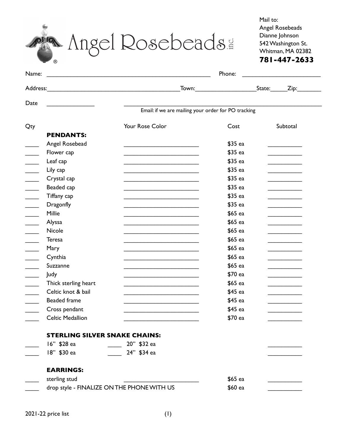® **781-447-2633** Angel Rosebeads.

Mail to: Angel Rosebeads Dianne Johnson 542 Washington St. Whitman, MA 02382

| Name:                                      | Phone:<br><u> 1980 - Jan Samuel Barbara, político establecente de la propia de la propia de la propia de la propia de la p</u> |                                                     |                                                |  |  |
|--------------------------------------------|--------------------------------------------------------------------------------------------------------------------------------|-----------------------------------------------------|------------------------------------------------|--|--|
| Address:                                   | Town:<br><u> 1989 - Johann Barbara, martxa alemaniar argametra (h. 1989).</u>                                                  |                                                     | State:<br>$\mathsf{Zip:}\_\_\_\_\_\_\_\$       |  |  |
|                                            |                                                                                                                                |                                                     |                                                |  |  |
|                                            |                                                                                                                                | Email: if we are mailing your order for PO tracking |                                                |  |  |
|                                            | Your Rose Color                                                                                                                | Cost                                                | Subtotal                                       |  |  |
| <b>PENDANTS:</b>                           |                                                                                                                                |                                                     |                                                |  |  |
| Angel Rosebead                             | <u> 1980 - Johann John Stone, mars eta biztanleria (h. 1980).</u>                                                              | \$35 ea                                             | and the company of the company                 |  |  |
| Flower cap                                 |                                                                                                                                | \$35 ea                                             | and the control of the control of              |  |  |
| Leaf cap                                   | the contract of the contract of the contract of the contract of the contract of                                                | \$35 ea                                             | and the company of the company                 |  |  |
| Lily cap                                   | <u> 1989 - Johann Stoff, Amerikaansk politiker (</u>                                                                           | \$35 ea                                             |                                                |  |  |
| Crystal cap                                | <u> 1989 - Johann Barbara, martin amerikan basar dan berasal dalam basar dalam basar dalam basar dalam basar dala</u>          | \$35 ea                                             | the company of the company                     |  |  |
| Beaded cap                                 | the contract of the contract of the contract of the contract of the contract of                                                | \$35 ea                                             | and the control of the control of              |  |  |
| Tiffany cap                                |                                                                                                                                | \$35 ea                                             |                                                |  |  |
| <b>Dragonfly</b>                           | the contract of the contract of the contract of the contract of the contract of                                                | \$35 ea                                             | and the control of the control of              |  |  |
| Millie                                     |                                                                                                                                | \$65 ea                                             |                                                |  |  |
| Alyssa                                     | <u> 1980 - Johann Barn, fransk politik amerikansk politik (</u>                                                                | \$65 ea                                             |                                                |  |  |
| Nicole                                     | <u> 1989 - Johann Stoff, Amerikaansk politiker (</u>                                                                           | \$65 ea                                             | and the control of the control of              |  |  |
| <b>Teresa</b>                              |                                                                                                                                | \$65 ea                                             | and the control of the control of              |  |  |
| Mary                                       | <u> 1989 - Johann Stein, Amerikaansk politiker (</u>                                                                           | \$65 ea                                             | and the control of the control of              |  |  |
| Cynthia                                    | the contract of the contract of the contract of the contract of the contract of                                                | \$65 ea                                             |                                                |  |  |
| Suzzanne                                   |                                                                                                                                | \$65 ea                                             |                                                |  |  |
| Judy                                       | <u> 1989 - Johann Barbara, martin amerikan basar dan basar dalam pengaran basar dalam pengaran basar dalam pengara</u>         | \$70 ea                                             | <u> 1989 - Johann Barnett, fransk kongresu</u> |  |  |
| Thick sterling heart                       | the contract of the contract of the contract of the contract of the contract of                                                | \$65 ea                                             | and the control of the control of              |  |  |
| Celtic knot & bail                         |                                                                                                                                | \$45 ea                                             | <u> 1990 - Johann Barbara, martxa a</u>        |  |  |
| <b>Beaded frame</b>                        |                                                                                                                                | \$45 ea                                             | and the control of the control of              |  |  |
| Cross pendant                              |                                                                                                                                | \$45 ea                                             |                                                |  |  |
| Celtic Medallion                           |                                                                                                                                | \$70 ea                                             |                                                |  |  |
| <b>STERLING SILVER SNAKE CHAINS:</b>       |                                                                                                                                |                                                     |                                                |  |  |
| 16" \$28 ea                                | 20" \$32 ea                                                                                                                    |                                                     |                                                |  |  |
| 18" \$30 ea                                | 24" \$34 ea                                                                                                                    |                                                     |                                                |  |  |
| <b>EARRINGS:</b>                           |                                                                                                                                |                                                     |                                                |  |  |
| sterling stud                              |                                                                                                                                | \$65 ea                                             |                                                |  |  |
| drop style - FINALIZE ON THE PHONE WITH US |                                                                                                                                | \$60 ea                                             |                                                |  |  |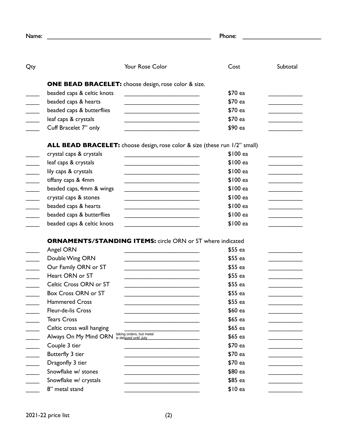|                                             | Phone:                                                                                                                |          |                                              |  |
|---------------------------------------------|-----------------------------------------------------------------------------------------------------------------------|----------|----------------------------------------------|--|
|                                             | Your Rose Color                                                                                                       | Cost     | Subtotal                                     |  |
|                                             | <b>ONE BEAD BRACELET:</b> choose design, rose color & size.                                                           |          |                                              |  |
| beaded caps & celtic knots                  | <u> 1999 - Johann Barn, mars ann an t-Amhain ann an t-A</u>                                                           | \$70 ea  |                                              |  |
| beaded caps & hearts                        |                                                                                                                       | \$70 ea  |                                              |  |
| beaded caps & butterflies                   | <u> 1989 - Johann John Stein, mars an deus Amerikaansk kommunister (</u>                                              | \$70 ea  | and the company of the company of            |  |
| leaf caps & crystals                        |                                                                                                                       | \$70 ea  |                                              |  |
| Cuff Bracelet 7" only                       |                                                                                                                       | \$90 ea  |                                              |  |
|                                             | ALL BEAD BRACELET: choose design, rose color & size (these run 1/2" small)                                            |          |                                              |  |
| crystal caps & crystals                     | <u> 1989 - Johann Barbara, martxa alemaniar a</u>                                                                     | \$100 ea |                                              |  |
| leaf caps & crystals                        |                                                                                                                       | \$100 ea | <u> 1980 - Jan Barnett, fransk politiker</u> |  |
| lily caps & crystals                        | the contract of the contract of the contract of the contract of the contract of                                       | \$100 ea | <u> 1980 - Johann Barbara, martxa a</u>      |  |
| tiffany caps & 4mm                          |                                                                                                                       | \$100 ea |                                              |  |
| beaded caps, 4mm & wings                    | the contract of the contract of the contract of the contract of the contract of                                       | \$100 ea |                                              |  |
| crystal caps & stones                       | the contract of the contract of the contract of the contract of the contract of                                       | \$100 ea |                                              |  |
| beaded caps & hearts                        | <u> 1989 - Johann Barbara, martin amerikan basar dan berasal dalam basar dalam basar dalam basar dalam basar dala</u> | \$100 ea |                                              |  |
| beaded caps & butterflies                   | <u> 1989 - Johann Barbara, martin amerikan basar dan berasal dalam basar dalam basar dalam basar dalam basar dala</u> | \$100 ea |                                              |  |
| beaded caps & celtic knots                  |                                                                                                                       | \$100 ea |                                              |  |
|                                             | <b>ORNAMENTS/STANDING ITEMS:</b> circle ORN or ST where indicated                                                     |          |                                              |  |
| Angel ORN                                   |                                                                                                                       | $$55$ ea |                                              |  |
| Double Wing ORN                             | <u> 1989 - Johann Barbara, martin amerikan basar dan berasal dalam basar dalam basar dalam basar dalam basar dala</u> | $$55$ ea |                                              |  |
| Our Family ORN or ST                        |                                                                                                                       | \$55 ea  |                                              |  |
| Heart ORN or ST                             |                                                                                                                       | \$55 ea  |                                              |  |
| Celtic Cross ORN or ST                      |                                                                                                                       | \$55 ea  |                                              |  |
| Box Cross ORN or ST                         |                                                                                                                       | \$55 ea  |                                              |  |
| <b>Hammered Cross</b>                       |                                                                                                                       | \$55 ea  |                                              |  |
| Fleur-de-lis Cross                          |                                                                                                                       | \$60 ea  |                                              |  |
| <b>Tears Cross</b>                          |                                                                                                                       | \$65 ea  |                                              |  |
| Celtic cross wall hanging                   |                                                                                                                       | \$65 ea  |                                              |  |
| Always On My Mind ORN is delayed until July | taking orders, but metal                                                                                              | \$65 ea  |                                              |  |
|                                             |                                                                                                                       | \$70 ea  |                                              |  |
| Couple 3 tier                               |                                                                                                                       |          |                                              |  |
| Butterfly 3 tier                            |                                                                                                                       | \$70 ea  |                                              |  |
| Dragonfly 3 tier                            |                                                                                                                       | \$70 ea  |                                              |  |
| Snowflake w/ stones                         |                                                                                                                       | \$80 ea  |                                              |  |
| Snowflake w/ crystals                       |                                                                                                                       | \$85 ea  |                                              |  |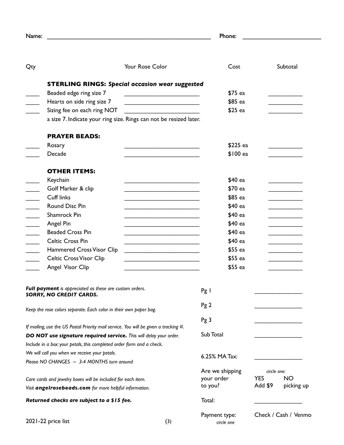| Name:                                                              |                                                                                      |                                                                                                                      | Phone:                      |                       |
|--------------------------------------------------------------------|--------------------------------------------------------------------------------------|----------------------------------------------------------------------------------------------------------------------|-----------------------------|-----------------------|
|                                                                    |                                                                                      |                                                                                                                      |                             |                       |
| Qty                                                                |                                                                                      | <b>Your Rose Color</b>                                                                                               | Cost                        | Subtotal              |
|                                                                    |                                                                                      | <b>STERLING RINGS: Special occasion wear suggested</b>                                                               |                             |                       |
|                                                                    | Beaded edge ring size 7                                                              | <u> 1989 - Johann Barbara, martin amerikan personal (</u>                                                            | \$75 ea                     |                       |
|                                                                    | Hearts on side ring size 7                                                           |                                                                                                                      | \$85 ea                     |                       |
|                                                                    | Sizing fee on each ring NOT                                                          | <u> 1980 - Andrea Britain, politik eta politik eta politik eta politik eta politik eta politik eta politik eta p</u> | \$25 ea                     |                       |
|                                                                    |                                                                                      | a size 7. Indicate your ring size. Rings can not be resized later.                                                   |                             |                       |
|                                                                    | <b>PRAYER BEADS:</b>                                                                 |                                                                                                                      |                             |                       |
|                                                                    | Rosary                                                                               |                                                                                                                      | \$225 ea                    |                       |
|                                                                    | Decade                                                                               |                                                                                                                      | \$100 ea                    |                       |
|                                                                    | <b>OTHER ITEMS:</b>                                                                  |                                                                                                                      |                             |                       |
|                                                                    | Keychain                                                                             |                                                                                                                      | \$40 ea                     |                       |
|                                                                    | Golf Marker & clip                                                                   |                                                                                                                      | \$70 ea                     |                       |
|                                                                    | <b>Cuff links</b>                                                                    |                                                                                                                      | \$85 ea                     |                       |
|                                                                    | Round Disc Pin                                                                       |                                                                                                                      | \$40 ea                     |                       |
|                                                                    | Shamrock Pin                                                                         |                                                                                                                      | \$40 ea                     |                       |
|                                                                    | Angel Pin                                                                            |                                                                                                                      | \$40 ea                     |                       |
|                                                                    | <b>Beaded Cross Pin</b>                                                              | the control of the control of the control of the control of the control of the control of                            | \$40 ea                     |                       |
|                                                                    | <b>Celtic Cross Pin</b>                                                              |                                                                                                                      | \$40 ea                     |                       |
|                                                                    | Hammered Cross Visor Clip                                                            |                                                                                                                      | \$55 ea                     |                       |
|                                                                    | <b>Celtic Cross Visor Clip</b>                                                       |                                                                                                                      | \$55 ea                     |                       |
|                                                                    | Angel Visor Clip                                                                     |                                                                                                                      | \$55 ea                     |                       |
|                                                                    | Full payment is appreciated as these are custom orders.<br>SORRY, NO CREDIT CARDS.   |                                                                                                                      | $Pg$                        |                       |
| Keep the rose colors separate. Each color in their own paper bag.  |                                                                                      | Pg2                                                                                                                  |                             |                       |
|                                                                    |                                                                                      |                                                                                                                      |                             |                       |
|                                                                    | If mailing, use the US Postal Priority mail service. You will be given a tracking #. |                                                                                                                      | Pg 3                        |                       |
| DO NOT use signature required service. This will delay your order. |                                                                                      |                                                                                                                      | Sub Total                   |                       |
|                                                                    | Include in a box: your petals, this completed order form and a check.                |                                                                                                                      |                             |                       |
|                                                                    | We will call you when we receive your petals.                                        |                                                                                                                      |                             |                       |
| Please NO CHANGES $\sim$ 3-4 MONTHS turn around                    |                                                                                      | 6.25% MA Tax:                                                                                                        |                             |                       |
|                                                                    |                                                                                      |                                                                                                                      | Are we shipping             | circle one:           |
| Care cards and jewelry boxes will be included for each item.       |                                                                                      | your order                                                                                                           | <b>YES</b><br><b>NO</b>     |                       |
|                                                                    | Visit angelrosebeads.com for more helpful information.                               |                                                                                                                      | to you?                     | Add \$9<br>picking up |
|                                                                    | Returned checks are subject to a \$15 fee.                                           |                                                                                                                      | Total:                      |                       |
| 2021-22 price list                                                 |                                                                                      | (3)                                                                                                                  | Payment type:<br>circle one | Check / Cash / Venmo  |